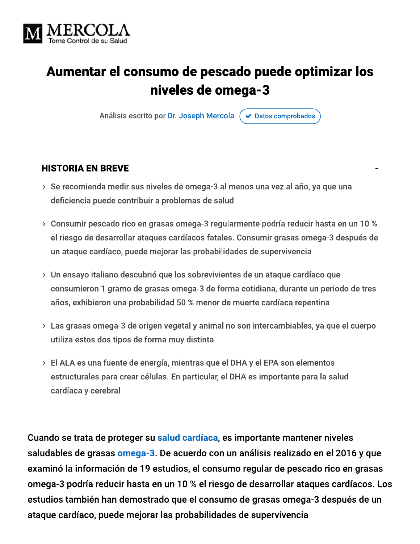

# Aumentar el consumo de pescado puede optimizar los niveles de omega-3

Análisis escrito por Dr. Joseph Mercola ◆ Datos comprobados

#### **HISTORIA EN BREVE**

- > Se recomienda medir sus niveles de omega-3 al menos una vez al año, ya que una deficiencia puede contribuir a problemas de salud
- > Consumir pescado rico en grasas omega-3 regularmente podría reducir hasta en un 10 % el riesgo de desarrollar ataques cardíacos fatales. Consumir grasas omega-3 después de un ataque cardíaco, puede mejorar las probabilidades de supervivencia
- > Un ensayo italiano descubrió que los sobrevivientes de un ataque cardíaco que consumieron 1 gramo de grasas omega-3 de forma cotidiana, durante un periodo de tres años, exhibieron una probabilidad 50 % menor de muerte cardíaca repentina
- > Las grasas omega-3 de origen vegetal y animal no son intercambiables, ya que el cuerpo utiliza estos dos tipos de forma muy distinta
- > El ALA es una fuente de energía, mientras que el DHA y el EPA son elementos estructurales para crear células. En particular, el DHA es importante para la salud cardíaca y cerebral

Cuando se trata de proteger su salud cardíaca, es importante mantener niveles saludables de grasas omega-3. De acuerdo con un análisis realizado en el 2016 y que examinó la información de 19 estudios, el consumo regular de pescado rico en grasas omega-3 podría reducir hasta en un 10 % el riesgo de desarrollar ataques cardíacos. Los estudios también han demostrado que el consumo de grasas omega-3 después de un ataque cardíaco, puede mejorar las probabilidades de supervivencia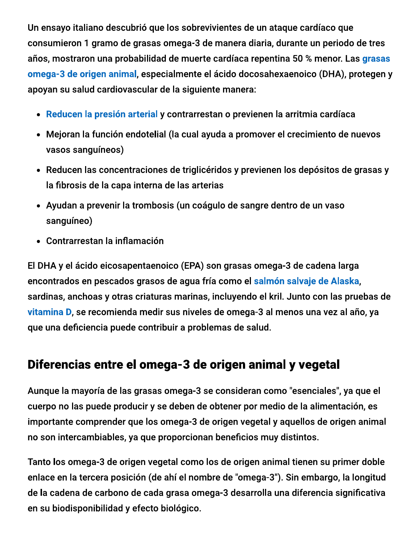Un ensayo italiano descubrió que los sobrevivientes de un ataque cardíaco que consumieron 1 gramo de grasas omega-3 de manera diaria, durante un periodo de tres años, mostraron una probabilidad de muerte cardíaca repentina 50 % menor. Las grasas omega-3 de origen animal, especialmente el ácido docosahexaenoico (DHA), protegen y apoyan su salud cardiovascular de la siguiente manera:

- · Reducen la presión arterial y contrarrestan o previenen la arritmia cardíaca
- · Mejoran la función endotelial (la cual ayuda a promover el crecimiento de nuevos vasos sanguíneos)
- Reducen las concentraciones de triglicéridos y previenen los depósitos de grasas y la fibrosis de la capa interna de las arterias
- · Ayudan a prevenir la trombosis (un coágulo de sangre dentro de un vaso sanguíneo)
- Contrarrestan la inflamación

El DHA y el ácido eicosapentaenoico (EPA) son grasas omega-3 de cadena larga encontrados en pescados grasos de agua fría como el salmón salvaje de Alaska, sardinas, anchoas y otras criaturas marinas, incluyendo el kril. Junto con las pruebas de vitamina D, se recomienda medir sus niveles de omega-3 al menos una vez al año, ya que una deficiencia puede contribuir a problemas de salud.

## Diferencias entre el omega-3 de origen animal y vegetal

Aunque la mayoría de las grasas omega-3 se consideran como "esenciales", ya que el cuerpo no las puede producir y se deben de obtener por medio de la alimentación, es importante comprender que los omega-3 de origen vegetal y aquellos de origen animal no son intercambiables, ya que proporcionan beneficios muy distintos.

Tanto los omega-3 de origen vegetal como los de origen animal tienen su primer doble enlace en la tercera posición (de ahí el nombre de "omega-3"). Sin embargo, la longitud de la cadena de carbono de cada grasa omega-3 desarrolla una diferencia significativa en su biodisponibilidad y efecto biológico.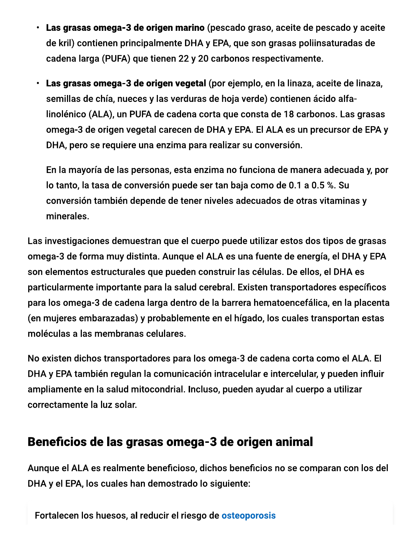- · Las grasas omega-3 de origen marino (pescado graso, aceite de pescado y aceite de kril) contienen principalmente DHA y EPA, que son grasas poliinsaturadas de cadena larga (PUFA) que tienen 22 y 20 carbonos respectivamente.
- Las grasas omega-3 de origen vegetal (por ejemplo, en la linaza, aceite de linaza,  $\bullet$ semillas de chía, nueces y las verduras de hoja verde) contienen ácido alfalinolénico (ALA), un PUFA de cadena corta que consta de 18 carbonos. Las grasas omega-3 de origen vegetal carecen de DHA y EPA. El ALA es un precursor de EPA y DHA, pero se requiere una enzima para realizar su conversión.

En la mayoría de las personas, esta enzima no funciona de manera adecuada y, por lo tanto, la tasa de conversión puede ser tan baja como de 0.1 a 0.5 %. Su conversión también depende de tener niveles adecuados de otras vitaminas y minerales.

Las investigaciones demuestran que el cuerpo puede utilizar estos dos tipos de grasas omega-3 de forma muy distinta. Aunque el ALA es una fuente de energía, el DHA y EPA son elementos estructurales que pueden construir las células. De ellos, el DHA es particularmente importante para la salud cerebral. Existen transportadores específicos para los omega-3 de cadena larga dentro de la barrera hematoencefálica, en la placenta (en mujeres embarazadas) y probablemente en el hígado, los cuales transportan estas moléculas a las membranas celulares.

No existen dichos transportadores para los omega-3 de cadena corta como el ALA. El DHA y EPA también regulan la comunicación intracelular e intercelular, y pueden influir ampliamente en la salud mitocondrial. Incluso, pueden avudar al cuerpo a utilizar correctamente la luz solar.

#### Beneficios de las grasas omega-3 de origen animal

Aunque el ALA es realmente beneficioso, dichos beneficios no se comparan con los del DHA y el EPA, los cuales han demostrado lo siguiente: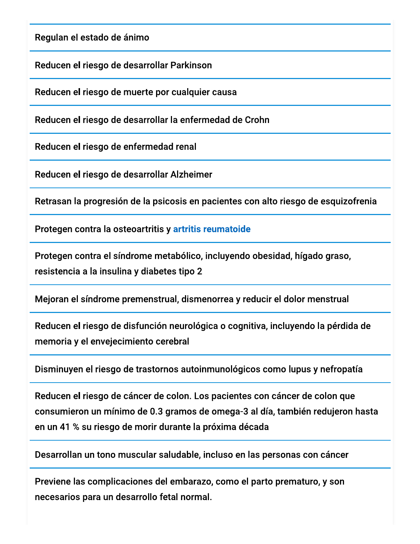Regulan el estado de ánimo

Reducen el riesgo de desarrollar Parkinson

Reducen el riesgo de muerte por cualquier causa

Reducen el riesgo de desarrollar la enfermedad de Crohn

Reducen el riesgo de enfermedad renal

Reducen el riesgo de desarrollar Alzheimer

Retrasan la progresión de la psicosis en pacientes con alto riesgo de esquizofrenia

Protegen contra la osteoartritis y artritis reumatoide

Protegen contra el síndrome metabólico, incluyendo obesidad, hígado graso, resistencia a la insulina y diabetes tipo 2

Mejoran el síndrome premenstrual, dismenorrea y reducir el dolor menstrual

Reducen el riesgo de disfunción neurológica o cognitiva, incluyendo la pérdida de memoria y el envejecimiento cerebral

Disminuyen el riesgo de trastornos autoinmunológicos como lupus y nefropatía

Reducen el riesgo de cáncer de colon. Los pacientes con cáncer de colon que consumieron un mínimo de 0.3 gramos de omega-3 al día, también redujeron hasta en un 41 % su riesgo de morir durante la próxima década

Desarrollan un tono muscular saludable, incluso en las personas con cáncer

Previene las complicaciones del embarazo, como el parto prematuro, y son necesarios para un desarrollo fetal normal.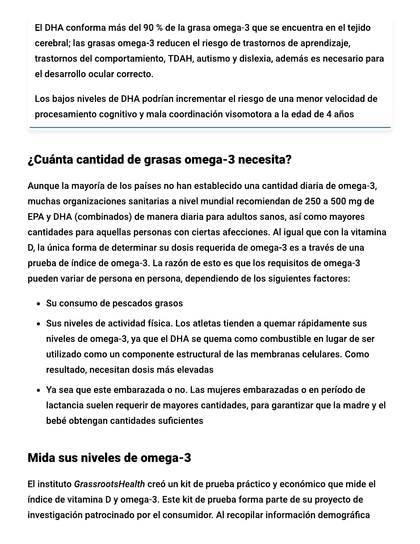El DHA conforma más del 90 % de la grasa omega-3 que se encuentra en el tejido cerebral; las grasas omega-3 reducen el riesgo de trastornos de aprendizaje, trastornos del comportamiento, TDAH, autismo y dislexia, además es necesario para el desarrollo ocular correcto.

Los bajos niveles de DHA podrían incrementar el riesgo de una menor velocidad de procesamiento cognitivo y mala coordinación visomotora a la edad de 4 años

#### ¿Cuánta cantidad de grasas omega-3 necesita?

Aunque la mayoría de los países no han establecido una cantidad diaria de omega-3, muchas organizaciones sanitarias a nivel mundial recomiendan de 250 a 500 mg de EPA y DHA (combinados) de manera diaria para adultos sanos, así como mayores cantidades para aquellas personas con ciertas afecciones. Al igual que con la vitamina D, la única forma de determinar su dosis requerida de omega-3 es a través de una prueba de índice de omega-3. La razón de esto es que los requisitos de omega-3 pueden variar de persona en persona, dependiendo de los siguientes factores:

- · Su consumo de pescados grasos
- · Sus niveles de actividad física. Los atletas tienden a quemar rápidamente sus niveles de omega-3, ya que el DHA se quema como combustible en lugar de ser utilizado como un componente estructural de las membranas celulares. Como resultado, necesitan dosis más elevadas
- Ya sea que este embarazada o no. Las mujeres embarazadas o en período de lactancia suelen requerir de mayores cantidades, para garantizar que la madre y el bebé obtengan cantidades suficientes

### Mida sus niveles de omega-3

El instituto GrassrootsHealth creó un kit de prueba práctico y económico que mide el índice de vitamina D y omega-3. Este kit de prueba forma parte de su proyecto de investigación patrocinado por el consumidor. Al recopilar información demográfica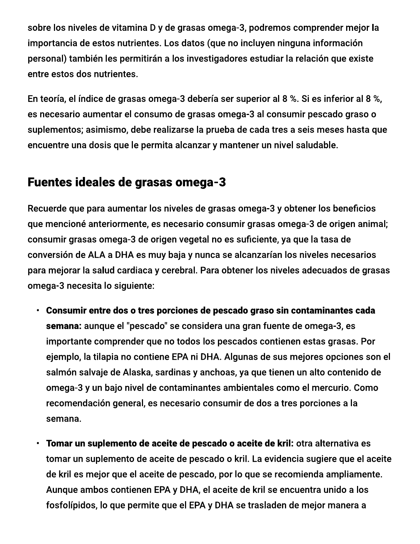sobre los niveles de vitamina D y de grasas omega-3, podremos comprender mejor la importancia de estos nutrientes. Los datos (que no incluyen ninguna información personal) también les permitirán a los investigadores estudiar la relación que existe entre estos dos nutrientes.

En teoría, el índice de grasas omega-3 debería ser superior al 8 %. Si es inferior al 8 %, es necesario aumentar el consumo de grasas omega-3 al consumir pescado graso o suplementos; asimismo, debe realizarse la prueba de cada tres a seis meses hasta que encuentre una dosis que le permita alcanzar y mantener un nivel saludable.

#### Fuentes ideales de grasas omega-3

Recuerde que para aumentar los niveles de grasas omega-3 y obtener los beneficios que mencioné anteriormente, es necesario consumir grasas omega-3 de origen animal; consumir grasas omega-3 de origen vegetal no es suficiente, ya que la tasa de conversión de ALA a DHA es muy baja y nunca se alcanzarían los niveles necesarios para mejorar la salud cardiaca y cerebral. Para obtener los niveles adecuados de grasas omega-3 necesita lo siguiente:

- Consumir entre dos o tres porciones de pescado graso sin contaminantes cada semana: aunque el "pescado" se considera una gran fuente de omega-3, es importante comprender que no todos los pescados contienen estas grasas. Por ejemplo, la tilapia no contiene EPA ni DHA. Algunas de sus mejores opciones son el salmón salvaje de Alaska, sardinas y anchoas, ya que tienen un alto contenido de omega-3 y un bajo nivel de contaminantes ambientales como el mercurio. Como recomendación general, es necesario consumir de dos a tres porciones a la semana.
- Tomar un suplemento de aceite de pescado o aceite de kril: otra alternativa es  $\bullet$ tomar un suplemento de aceite de pescado o kril. La evidencia sugiere que el aceite de kril es mejor que el aceite de pescado, por lo que se recomienda ampliamente. Aunque ambos contienen EPA y DHA, el aceite de kril se encuentra unido a los fosfolípidos, lo que permite que el EPA y DHA se trasladen de mejor manera a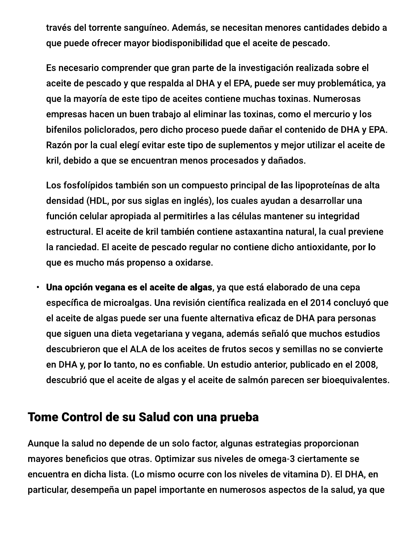través del torrente sanguíneo. Además, se necesitan menores cantidades debido a que puede ofrecer mayor biodisponibilidad que el aceite de pescado.

Es necesario comprender que gran parte de la investigación realizada sobre el aceite de pescado y que respalda al DHA y el EPA, puede ser muy problemática, ya que la mayoría de este tipo de aceites contiene muchas toxinas. Numerosas empresas hacen un buen trabajo al eliminar las toxinas, como el mercurio y los bifenilos policlorados, pero dicho proceso puede dañar el contenido de DHA y EPA. Razón por la cual elegí evitar este tipo de suplementos y mejor utilizar el aceite de kril, debido a que se encuentran menos procesados y dañados.

Los fosfolípidos también son un compuesto principal de las lipoproteínas de alta densidad (HDL, por sus siglas en inglés), los cuales ayudan a desarrollar una función celular apropiada al permitirles a las células mantener su integridad estructural. El aceite de kril también contiene astaxantina natural, la cual previene la ranciedad. El aceite de pescado regular no contiene dicho antioxidante, por lo que es mucho más propenso a oxidarse.

Una opción vegana es el aceite de algas, ya que está elaborado de una cepa  $\bullet$ específica de microalgas. Una revisión científica realizada en el 2014 concluyó que el aceite de algas puede ser una fuente alternativa eficaz de DHA para personas que siguen una dieta vegetariana y vegana, además señaló que muchos estudios descubrieron que el ALA de los aceites de frutos secos y semillas no se convierte en DHA y, por lo tanto, no es confiable. Un estudio anterior, publicado en el 2008, descubrió que el aceite de algas y el aceite de salmón parecen ser bioequivalentes.

#### Tome Control de su Salud con una prueba

Aunque la salud no depende de un solo factor, algunas estrategias proporcionan mayores beneficios que otras. Optimizar sus niveles de omega-3 ciertamente se encuentra en dicha lista. (Lo mismo ocurre con los niveles de vitamina D). El DHA, en particular, desempeña un papel importante en numerosos aspectos de la salud, ya que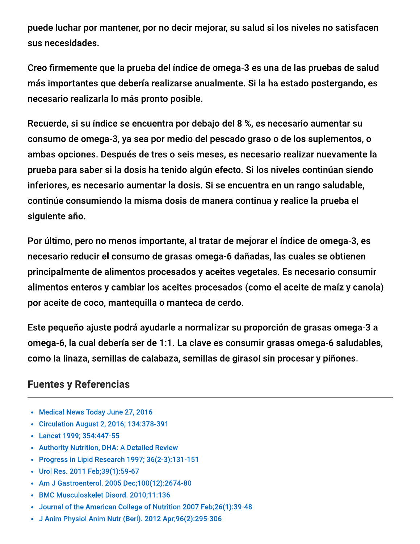puede luchar por mantener, por no decir mejorar, su salud si los niveles no satisfacen sus necesidades.

Creo firmemente que la prueba del índice de omega-3 es una de las pruebas de salud más importantes que debería realizarse anualmente. Si la ha estado postergando, es necesario realizarla lo más pronto posible.

Recuerde, si su índice se encuentra por debajo del 8 %, es necesario aumentar su consumo de omega-3, ya sea por medio del pescado graso o de los suplementos, o ambas opciones. Después de tres o seis meses, es necesario realizar nuevamente la prueba para saber si la dosis ha tenido algún efecto. Si los niveles continúan siendo inferiores, es necesario aumentar la dosis. Si se encuentra en un rango saludable, continúe consumiendo la misma dosis de manera continua y realice la prueba el siguiente año.

Por último, pero no menos importante, al tratar de mejorar el índice de omega-3, es necesario reducir el consumo de grasas omega-6 dañadas, las cuales se obtienen principalmente de alimentos procesados y aceites vegetales. Es necesario consumir alimentos enteros y cambiar los aceites procesados (como el aceite de maíz y canola) por aceite de coco, mantequilla o manteca de cerdo.

Este pequeño ajuste podrá ayudarle a normalizar su proporción de grasas omega-3 a omega-6, la cual debería ser de 1:1. La clave es consumir grasas omega-6 saludables, como la linaza, semillas de calabaza, semillas de girasol sin procesar y piñones.

#### **Fuentes y Referencias**

- Medical News Today June 27, 2016
- Circulation August 2, 2016; 134:378-391
- Lancet 1999; 354:447-55
- Authority Nutrition, DHA: A Detailed Review
- Progress in Lipid Research 1997; 36(2-3):131-151
- Urol Res. 2011 Feb;39(1):59-67
- Am J Gastroenterol. 2005 Dec;100(12):2674-80
- BMC Musculoskelet Disord. 2010;11:136
- Journal of the American College of Nutrition 2007 Feb; 26(1): 39-48
- J Anim Physiol Anim Nutr (Berl). 2012 Apr;96(2):295-306